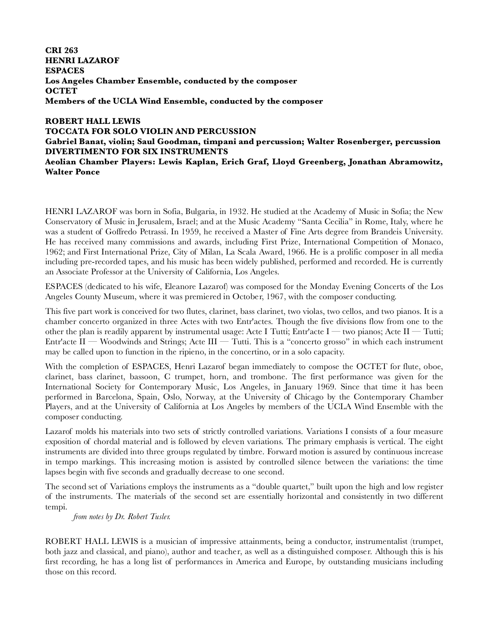**CRI 263 HENRI LAZAROF ESPACES Los Angeles Chamber Ensemble, conducted by the composer OCTET Members of the UCLA Wind Ensemble, conducted by the composer**

## **ROBERT HALL LEWIS TOCCATA FOR SOLO VIOLIN AND PERCUSSION**

## **Gabriel Banat, violin; Saul Goodman, timpani and percussion; Walter Rosenberger, percussion DIVERTIMENTO FOR SIX INSTRUMENTS**

**Aeolian Chamber Players: Lewis Kaplan, Erich Graf, Lloyd Greenberg, Jonathan Abramowitz, Walter Ponce**

HENRI LAZAROF was born in Sofia, Bulgaria, in 1932. He studied at the Academy of Music in Sofia; the New Conservatory of Music in Jerusalem, Israel; and at the Music Academy "Santa Cecilia" in Rome, Italy, where he was a student of Goffredo Petrassi. In 1959, he received a Master of Fine Arts degree from Brandeis University. He has received many commissions and awards, including First Prize, International Competition of Monaco, 1962; and First International Prize, City of Milan, La Scala Award, 1966. He is a prolific composer in all media including pre-recorded tapes, and his music has been widely published, performed and recorded. He is currently an Associate Professor at the University of California, Los Angeles.

ESPACES (dedicated to his wife, Eleanore Lazarof) was composed for the Monday Evening Concerts of the Los Angeles County Museum, where it was premiered in October, 1967, with the composer conducting.

This five part work is conceived for two flutes, clarinet, bass clarinet, two violas, two cellos, and two pianos. It is a chamber concerto organized in three Actes with two Entr'actes. Though the five divisions flow from one to the other the plan is readily apparent by instrumental usage: Acte I Tutti; Entr'acte I — two pianos; Acte II — Tutti; Entr'acte II — Woodwinds and Strings; Acte III — Tutti. This is a "concerto grosso" in which each instrument may be called upon to function in the ripieno, in the concertino, or in a solo capacity.

With the completion of ESPACES, Henri Lazarof began immediately to compose the OCTET for flute, oboe, clarinet, bass clarinet, bassoon, C trumpet, horn, and trombone. The first performance was given for the International Society for Contemporary Music, Los Angeles, in January 1969. Since that time it has been performed in Barcelona, Spain, Oslo, Norway, at the University of Chicago by the Contemporary Chamber Players, and at the University of California at Los Angeles by members of the UCLA Wind Ensemble with the composer conducting.

Lazarof molds his materials into two sets of strictly controlled variations. Variations I consists of a four measure exposition of chordal material and is followed by eleven variations. The primary emphasis is vertical. The eight instruments are divided into three groups regulated by timbre. Forward motion is assured by continuous increase in tempo markings. This increasing motion is assisted by controlled silence between the variations: the time lapses begin with five seconds and gradually decrease to one second.

The second set of Variations employs the instruments as a "double quartet," built upon the high and low register of the instruments. The materials of the second set are essentially horizontal and consistently in two different tempi.

*from notes by Dr. Robert Tusler.*

ROBERT HALL LEWIS is a musician of impressive attainments, being a conductor, instrumentalist (trumpet, both jazz and classical, and piano), author and teacher, as well as a distinguished composer. Although this is his first recording, he has a long list of performances in America and Europe, by outstanding musicians including those on this record.